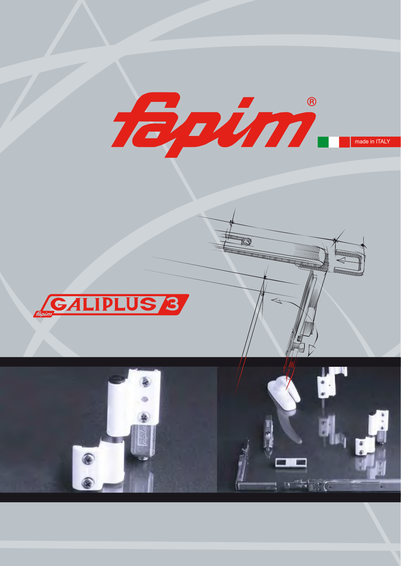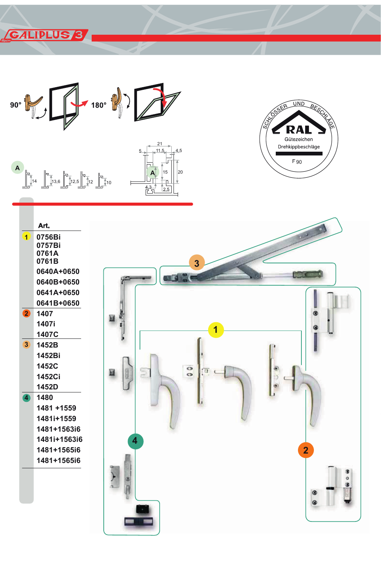**CALIPLUS 8** 



 $\overline{5}$ 

 $\mathbb{Z}^3$ 

 $.11.5$ 

15

 $25$ 

 $4,5$ 

 $|_{20}$ 



 $\overline{1}$ 

 $\bullet$ 

 $\overline{\mathbf{3}}$ 

 $\bullet$ 



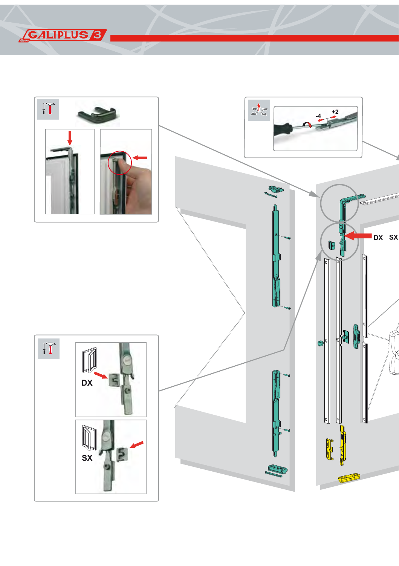

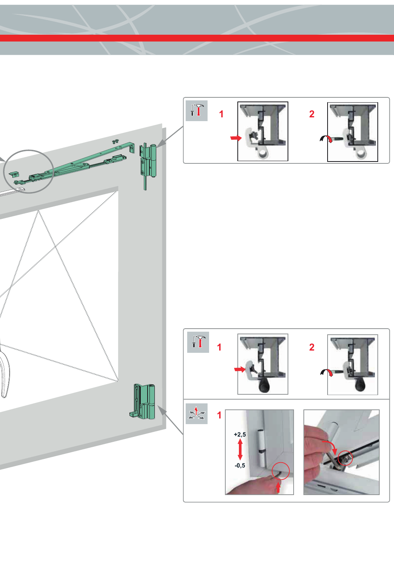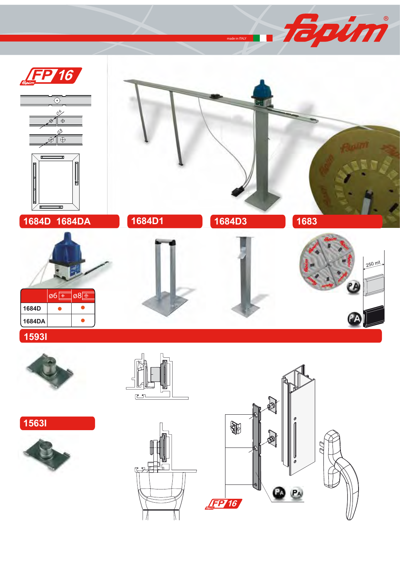

##